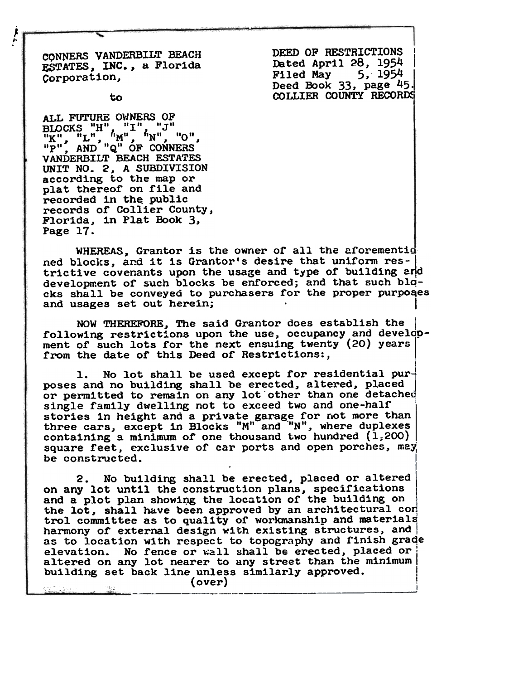CONNERS VANDERBILT BEACH ESTATES, INC., a Florida Corporation,

 $\frac{1}{2}$ 

DEED OF RESTRICTIONS Dated April 28, 1954<br>Filed May 5, 1954 Filed May Deed Book 33, page 45. COLLIER COUNTY RECORDS

to

ALL FUTURE OWNERS OF  $\max_{n=0}^{n}$   $\sum_{n=0}^{n}$   $\sum_{n=0}^{n}$   $\sum_{n=0}^{n}$   $\sum_{n=0}^{n}$   $\sum_{n=0}^{n}$   $\sum_{n=0}^{n}$   $\sum_{n=0}^{n}$   $\sum_{n=0}^{n}$   $\sum_{n=0}^{n}$ VANDERBILT BEACH ESTATES UNIT NO. 2, A SUBDIVISION according to the map or plat thereof on file and recorded in the public records of Collier County, Florida, in Plat Book 3, Page 17.

WHEREAS. Grantor is the owner of all the aforementic ned blocks, and it is Grantor's desire that uniform restrictive covenants upon the usage and type of building and development of such blocks be enforced; and that such blqcks shall be conveyed to purchasers for the proper purposes and usages set out herein;

NOW THEREFORE, The said Grantor does establish the, following restrictions upon the use, occupancy and development of such lots for the next ensuing twenty (20) years from the date of this Deed of Restrictions:,

1. No lot shall be used except for residential purposes and no building shall be erected, altered, placed or permitted to remain on any lot other than one detached single family dwelling not to exceed two and one-half stories in height and a private garage for not more than three cars, except in Blocks "M" and "N", where duplexe containing a minimum of one thousand two hundred  $(1,200)$ square feet, exclusive of car ports and open porches, may be constructed.

.

2. No building shall be erected, placed or altered on any lot until the construction plans, specifications and a plot plan showing the location of the building on the lot, shall have been approved by an architectural con trol committee as to quality of workmanship and materials harmony of external design with existing structures, and as to location with respect to topography and finish graqe elevation. No fence or wall shall be erected, placed or altered on any lot nearer to any street than the minimum  $b$ uilding set back line unless similarly approved.  $(over)$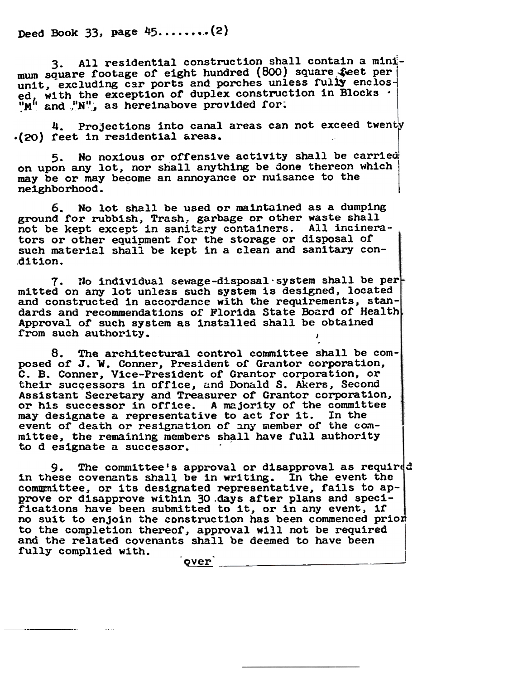Deed Book 33, page  $45$ ........(2)

3. All residential construction shall contain a minimum square footage of eight hundred (800) square feet per unit, excluding car ports and porches unless fully enclosed, with the exception of duplex construction in Blocks  $\mathbb{R}^n$ , with the exception of depict conservation  $\mathbb{R}^n$ , as hereinabove provided for

4. Projections into canal areas can not exceed twenty<br>(20) feet in residential areas.

5. No noxious or offensive activity shall be carried on upon any lot, nor shall anything be done thereon which may be or may become an annoyance or nuisance to the ne1ghborhood.

6. No lot shall be used or maintained as a dumping ground for rubbish, Trash, garbage or other waste shall not be kept except in sanitary containers. All incinerators or other equipment for the storage or disposal of such material shall be kept in a clean and sanitary con-.d1 t1.on.

7. No individual sewage-disposal system shall be per mitted on any lot unless such system is designed, located and constructed in accordance with the requirements, standards and recommendations of Florida State Board of Health Approval or such system as 1nstalled shall be obtained from such authority.

8. The architectural control committee shall be composed of J. W. Conner, President of Grantor corporation, C. B. Conner, Vice-President or Grantor corporation, or their sucqessors in office, and Donald S. Akers, Second Assistant Secretary and Treasurer of Grantor corporation, or his successor in office. A majority of the committee may designate a representative to act for it. In the event of death or resignation of any member of the committee, the remaining members shall have full authority to designate a successor.

9. The committee's approval or disapproval as required in these covenants shall be in writing. In the event the commmittee, or its designated representative, fails to approve or disapprove within 30 .days after plans and spccifications have been submitted to it, or in any event, if no suit to enjoin the construction has been commenced prior to the completion thereof, approval will not be required and the related covenants shall be deemed to have been fully complied with.

over